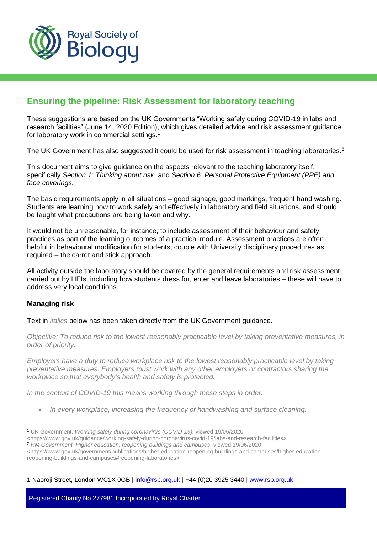

# **Ensuring the pipeline: Risk Assessment for laboratory teaching**

These suggestions are based on the UK Governments "Working safely during COVID-19 in labs and research facilities" (June 14, 2020 Edition), which gives detailed advice and risk assessment guidance for laboratory work in commercial settings.<sup>1</sup>

The UK Government has also suggested it could be used for risk assessment in teaching laboratories.<sup>2</sup>

This document aims to give guidance on the aspects relevant to the teaching laboratory itself, specifically *Section 1: Thinking about risk*, and *Section 6: Personal Protective Equipment (PPE) and face coverings.*

The basic requirements apply in all situations – good signage, good markings, frequent hand washing. Students are learning how to work safely and effectively in laboratory and field situations, and should be taught what precautions are being taken and why.

It would not be unreasonable, for instance, to include assessment of their behaviour and safety practices as part of the learning outcomes of a practical module. Assessment practices are often helpful in behavioural modification for students, couple with University disciplinary procedures as required – the carrot and stick approach.

All activity outside the laboratory should be covered by the general requirements and risk assessment carried out by HEIs, including how students dress for, enter and leave laboratories – these will have to address very local conditions.

# **Managing risk**

 $\overline{a}$ 

Text in *italics* below has been taken directly from the UK Government guidance.

*Objective: To reduce risk to the lowest reasonably practicable level by taking preventative measures, in order of priority.*

*Employers have a duty to reduce workplace risk to the lowest reasonably practicable level by taking preventative measures. Employers must work with any other employers or contractors sharing the workplace so that everybody's health and safety is protected.* 

*In the context of COVID-19 this means working through these steps in order:*

*In every workplace, increasing the frequency of handwashing and surface cleaning.*

[<https://www.gov.uk/government/publications/higher-education-reopening-buildings-and-campuses/higher-education](https://www.gov.uk/government/publications/higher-education-reopening-buildings-and-campuses/higher-education-reopening-buildings-and-campuses#reopening-laboratories)[reopening-buildings-and-campuses#reopening-laboratories>](https://www.gov.uk/government/publications/higher-education-reopening-buildings-and-campuses/higher-education-reopening-buildings-and-campuses#reopening-laboratories)

1 Naoroji Street, London WC1X 0GB | info@rsb.org.uk | +44 (0)20 3925 3440 | [www.rsb.org.uk](http://www.rsb.org.uk/)

<sup>1</sup> UK Government, *Working safely during coronavirus (COVID-19),* viewed 19/06/2020

[<sup>&</sup>lt;https://www.gov.uk/guidance/working-safely-during-coronavirus-covid-19/labs-and-research-facilities>](https://www.gov.uk/guidance/working-safely-during-coronavirus-covid-19/labs-and-research-facilities)

<sup>2</sup> *HM Government, Higher education: reopening buildings and campuses*, viewed 19/06/2020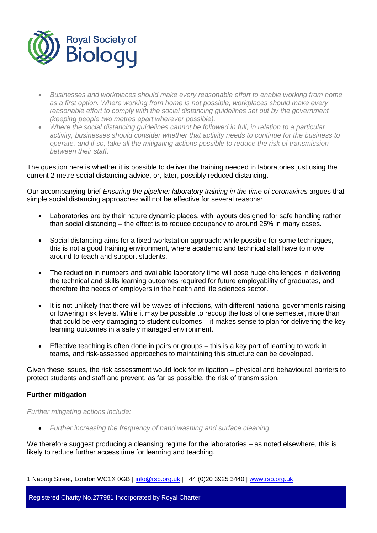

- *Businesses and workplaces should make every reasonable effort to enable working from home as a first option. Where working from home is not possible, workplaces should make every reasonable effort to comply with the social distancing guidelines set out by the government (keeping people two metres apart wherever possible).*
- *Where the social distancing guidelines cannot be followed in full, in relation to a particular activity, businesses should consider whether that activity needs to continue for the business to operate, and if so, take all the mitigating actions possible to reduce the risk of transmission between their staff.*

The question here is whether it is possible to deliver the training needed in laboratories just using the current 2 metre social distancing advice, or, later, possibly reduced distancing.

Our accompanying brief *Ensuring the pipeline: laboratory training in the time of coronavirus* argues that simple social distancing approaches will not be effective for several reasons:

- Laboratories are by their nature dynamic places, with layouts designed for safe handling rather than social distancing – the effect is to reduce occupancy to around 25% in many cases.
- Social distancing aims for a fixed workstation approach: while possible for some techniques, this is not a good training environment, where academic and technical staff have to move around to teach and support students.
- The reduction in numbers and available laboratory time will pose huge challenges in delivering the technical and skills learning outcomes required for future employability of graduates, and therefore the needs of employers in the health and life sciences sector.
- It is not unlikely that there will be waves of infections, with different national governments raising or lowering risk levels. While it may be possible to recoup the loss of one semester, more than that could be very damaging to student outcomes – it makes sense to plan for delivering the key learning outcomes in a safely managed environment.
- Effective teaching is often done in pairs or groups this is a key part of learning to work in teams, and risk-assessed approaches to maintaining this structure can be developed.

Given these issues, the risk assessment would look for mitigation – physical and behavioural barriers to protect students and staff and prevent, as far as possible, the risk of transmission.

# **Further mitigation**

*Further mitigating actions include:*

*Further increasing the frequency of hand washing and surface cleaning.*

We therefore suggest producing a cleansing regime for the laboratories – as noted elsewhere, this is likely to reduce further access time for learning and teaching.

1 Naoroji Street, London WC1X 0GB | info@rsb.org.uk | +44 (0)20 3925 3440 | [www.rsb.org.uk](http://www.rsb.org.uk/)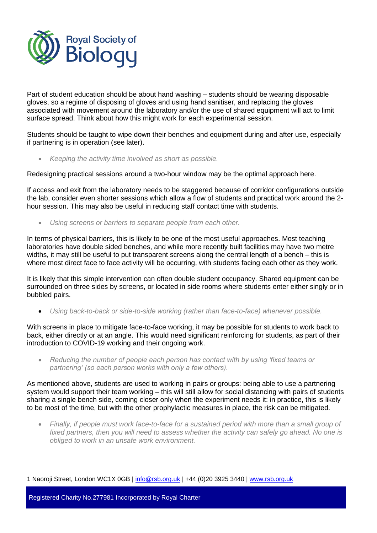

Part of student education should be about hand washing – students should be wearing disposable gloves, so a regime of disposing of gloves and using hand sanitiser, and replacing the gloves associated with movement around the laboratory and/or the use of shared equipment will act to limit surface spread. Think about how this might work for each experimental session.

Students should be taught to wipe down their benches and equipment during and after use, especially if partnering is in operation (see later).

*Keeping the activity time involved as short as possible.*

Redesigning practical sessions around a two-hour window may be the optimal approach here.

If access and exit from the laboratory needs to be staggered because of corridor configurations outside the lab, consider even shorter sessions which allow a flow of students and practical work around the 2 hour session. This may also be useful in reducing staff contact time with students.

*Using screens or barriers to separate people from each other.*

In terms of physical barriers, this is likely to be one of the most useful approaches. Most teaching laboratories have double sided benches, and while more recently built facilities may have two metre widths, it may still be useful to put transparent screens along the central length of a bench – this is where most direct face to face activity will be occurring, with students facing each other as they work.

It is likely that this simple intervention can often double student occupancy. Shared equipment can be surrounded on three sides by screens, or located in side rooms where students enter either singly or in bubbled pairs.

*Using back-to-back or side-to-side working (rather than face-to-face) whenever possible.*

With screens in place to mitigate face-to-face working, it may be possible for students to work back to back, either directly or at an angle. This would need significant reinforcing for students, as part of their introduction to COVID-19 working and their ongoing work.

 *Reducing the number of people each person has contact with by using 'fixed teams or partnering' (so each person works with only a few others).*

As mentioned above, students are used to working in pairs or groups: being able to use a partnering system would support their team working – this will still allow for social distancing with pairs of students sharing a single bench side, coming closer only when the experiment needs it: in practice, this is likely to be most of the time, but with the other prophylactic measures in place, the risk can be mitigated.

 *Finally, if people must work face-to-face for a sustained period with more than a small group of fixed partners, then you will need to assess whether the activity can safely go ahead. No one is obliged to work in an unsafe work environment.*

1 Naoroji Street, London WC1X 0GB | info@rsb.org.uk | +44 (0)20 3925 3440 | [www.rsb.org.uk](http://www.rsb.org.uk/)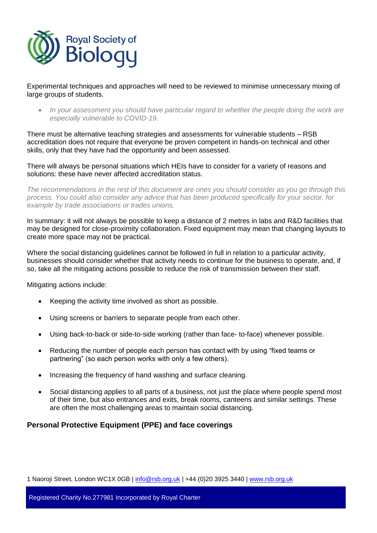

Experimental techniques and approaches will need to be reviewed to minimise unnecessary mixing of large groups of students.

• In your assessment you should have particular regard to whether the people doing the work are *especially vulnerable to COVID-19.*

There must be alternative teaching strategies and assessments for vulnerable students – RSB accreditation does not require that everyone be proven competent in hands-on technical and other skills, only that they have had the opportunity and been assessed.

There will always be personal situations which HEIs have to consider for a variety of reasons and solutions: these have never affected accreditation status.

*The recommendations in the rest of this document are ones you should consider as you go through this process. You could also consider any advice that has been produced specifically for your sector, for example by trade associations or trades unions.*

In summary: it will not always be possible to keep a distance of 2 metres in labs and R&D facilities that may be designed for close-proximity collaboration. Fixed equipment may mean that changing layouts to create more space may not be practical.

Where the social distancing guidelines cannot be followed in full in relation to a particular activity, businesses should consider whether that activity needs to continue for the business to operate, and, if so, take all the mitigating actions possible to reduce the risk of transmission between their staff.

Mitigating actions include:

- Keeping the activity time involved as short as possible.
- Using screens or barriers to separate people from each other.
- Using back-to-back or side-to-side working (rather than face- to-face) whenever possible.
- Reducing the number of people each person has contact with by using "fixed teams or partnering" (so each person works with only a few others).
- Increasing the frequency of hand washing and surface cleaning.
- Social distancing applies to all parts of a business, not just the place where people spend most of their time, but also entrances and exits, break rooms, canteens and similar settings. These are often the most challenging areas to maintain social distancing.

# **Personal Protective Equipment (PPE) and face coverings**

1 Naoroji Street, London WC1X 0GB | info@rsb.org.uk | +44 (0)20 3925 3440 | [www.rsb.org.uk](http://www.rsb.org.uk/)